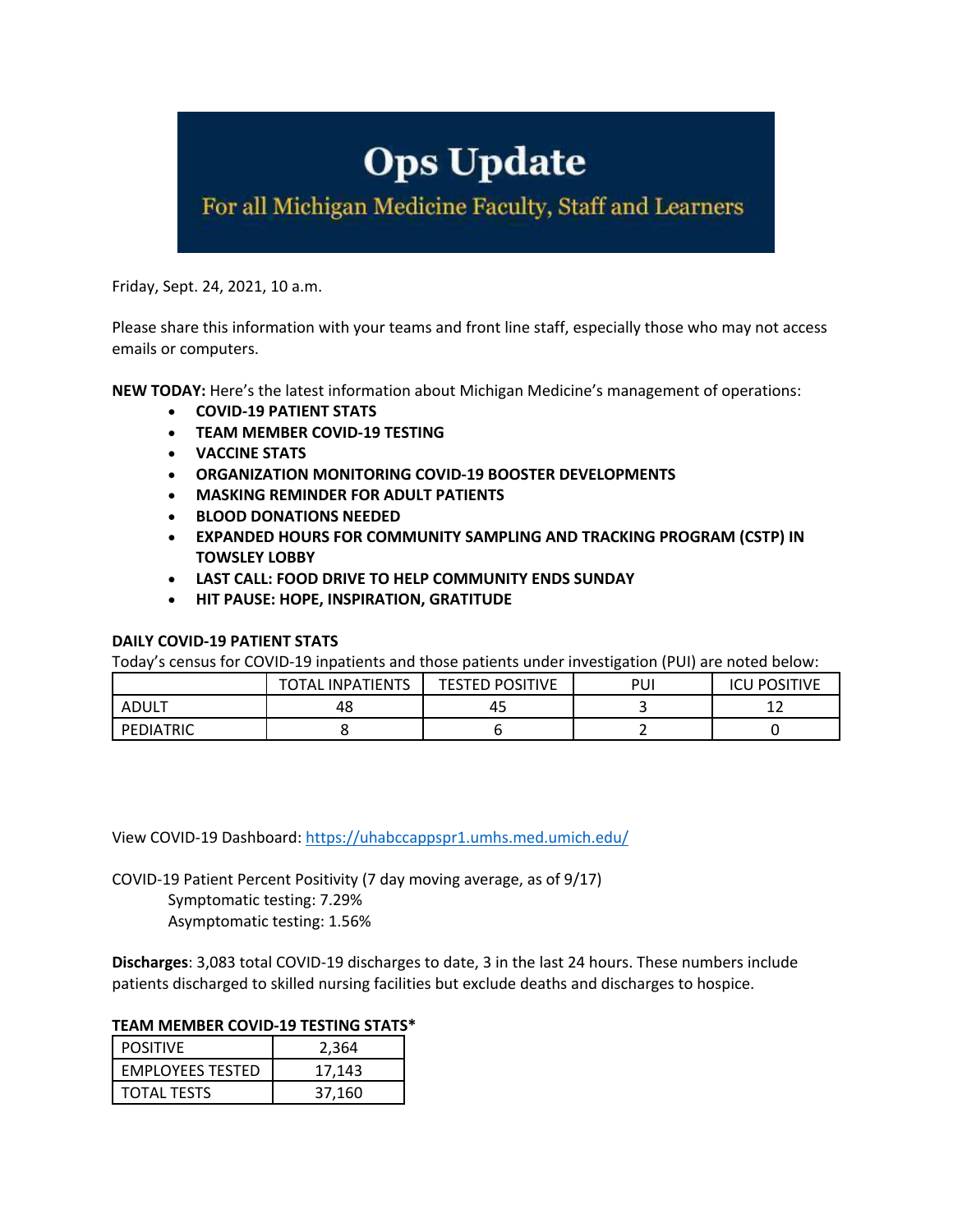# **Ops Update**

For all Michigan Medicine Faculty, Staff and Learners

Friday, Sept. 24, 2021, 10 a.m.

Please share this information with your teams and front line staff, especially those who may not access emails or computers.

**NEW TODAY:** Here's the latest information about Michigan Medicine's management of operations:

- **COVID-19 PATIENT STATS**
- **TEAM MEMBER COVID-19 TESTING**
- **VACCINE STATS**
- **ORGANIZATION MONITORING COVID-19 BOOSTER DEVELOPMENTS**
- **MASKING REMINDER FOR ADULT PATIENTS**
- **BLOOD DONATIONS NEEDED**
- **EXPANDED HOURS FOR COMMUNITY SAMPLING AND TRACKING PROGRAM (CSTP) IN TOWSLEY LOBBY**
- **LAST CALL: FOOD DRIVE TO HELP COMMUNITY ENDS SUNDAY**
- **HIT PAUSE: HOPE, INSPIRATION, GRATITUDE**

## **DAILY COVID-19 PATIENT STATS**

Today's census for COVID-19 inpatients and those patients under investigation (PUI) are noted below:

|           | <b>INPATIENTS</b><br>`′ OTAL | <b>TESTED POSITIVE</b> | PUI | <b>POSITIVE</b><br>ICL |
|-----------|------------------------------|------------------------|-----|------------------------|
| ADULT     | 48                           | 45                     |     | ∸                      |
| PEDIATRIC |                              |                        |     |                        |

View COVID-19 Dashboard: https://uhabccappspr1.umhs.med.umich.edu/

COVID-19 Patient Percent Positivity (7 day moving average, as of 9/17)

Symptomatic testing: 7.29% Asymptomatic testing: 1.56%

**Discharges**: 3,083 total COVID-19 discharges to date, 3 in the last 24 hours. These numbers include patients discharged to skilled nursing facilities but exclude deaths and discharges to hospice.

#### **TEAM MEMBER COVID-19 TESTING STATS\***

| <b>POSITIVE</b>         | 2.364  |  |
|-------------------------|--------|--|
| <b>EMPLOYEES TESTED</b> | 17.143 |  |
| <b>TOTAL TESTS</b>      | 37.160 |  |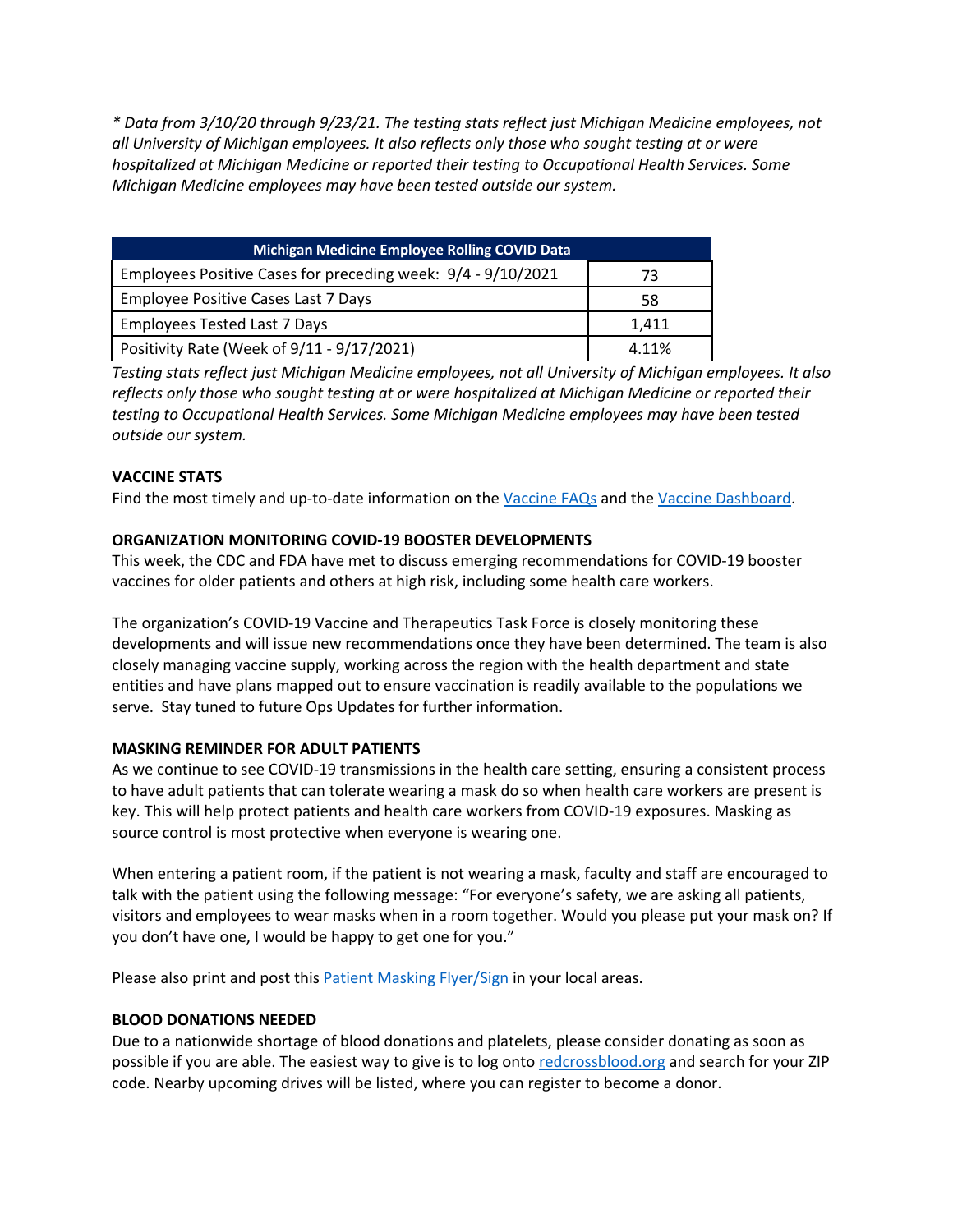*\* Data from 3/10/20 through 9/23/21. The testing stats reflect just Michigan Medicine employees, not all University of Michigan employees. It also reflects only those who sought testing at or were hospitalized at Michigan Medicine or reported their testing to Occupational Health Services. Some Michigan Medicine employees may have been tested outside our system.*

| <b>Michigan Medicine Employee Rolling COVID Data</b>         |       |  |  |
|--------------------------------------------------------------|-------|--|--|
| Employees Positive Cases for preceding week: 9/4 - 9/10/2021 | 73    |  |  |
| Employee Positive Cases Last 7 Days                          | 58    |  |  |
| <b>Employees Tested Last 7 Days</b>                          | 1.411 |  |  |
| Positivity Rate (Week of 9/11 - 9/17/2021)                   | 4.11% |  |  |

*Testing stats reflect just Michigan Medicine employees, not all University of Michigan employees. It also reflects only those who sought testing at or were hospitalized at Michigan Medicine or reported their testing to Occupational Health Services. Some Michigan Medicine employees may have been tested outside our system.*

## **VACCINE STATS**

Find the most timely and up-to-date information on the Vaccine FAQs and the Vaccine Dashboard.

#### **ORGANIZATION MONITORING COVID-19 BOOSTER DEVELOPMENTS**

This week, the CDC and FDA have met to discuss emerging recommendations for COVID-19 booster vaccines for older patients and others at high risk, including some health care workers.

The organization's COVID-19 Vaccine and Therapeutics Task Force is closely monitoring these developments and will issue new recommendations once they have been determined. The team is also closely managing vaccine supply, working across the region with the health department and state entities and have plans mapped out to ensure vaccination is readily available to the populations we serve. Stay tuned to future Ops Updates for further information.

#### **MASKING REMINDER FOR ADULT PATIENTS**

As we continue to see COVID-19 transmissions in the health care setting, ensuring a consistent process to have adult patients that can tolerate wearing a mask do so when health care workers are present is key. This will help protect patients and health care workers from COVID-19 exposures. Masking as source control is most protective when everyone is wearing one.

When entering a patient room, if the patient is not wearing a mask, faculty and staff are encouraged to talk with the patient using the following message: "For everyone's safety, we are asking all patients, visitors and employees to wear masks when in a room together. Would you please put your mask on? If you don't have one, I would be happy to get one for you."

Please also print and post this Patient Masking Flyer/Sign in your local areas.

#### **BLOOD DONATIONS NEEDED**

Due to a nationwide shortage of blood donations and platelets, please consider donating as soon as possible if you are able. The easiest way to give is to log onto redcrossblood.org and search for your ZIP code. Nearby upcoming drives will be listed, where you can register to become a donor.